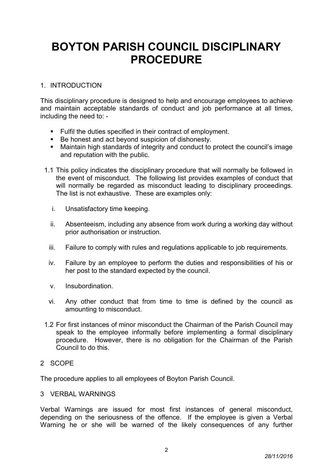# BOYTON PARISH COUNCIL DISCIPLINARY PROCEDURE

# 1. INTRODUCTION

This disciplinary procedure is designed to help and encourage employees to achieve and maintain acceptable standards of conduct and job performance at all times, including the need to: -

- **Fulfil the duties specified in their contract of employment.**
- Be honest and act beyond suspicion of dishonesty.
- Maintain high standards of integrity and conduct to protect the council's image and reputation with the public.
- 1.1 This policy indicates the disciplinary procedure that will normally be followed in the event of misconduct. The following list provides examples of conduct that will normally be regarded as misconduct leading to disciplinary proceedings. The list is not exhaustive. These are examples only:
	- i. Unsatisfactory time keeping.
	- ii. Absenteeism, including any absence from work during a working day without prior authorisation or instruction.
	- iii. Failure to comply with rules and regulations applicable to job requirements.
	- iv. Failure by an employee to perform the duties and responsibilities of his or her post to the standard expected by the council.
	- v. Insubordination.
	- vi. Any other conduct that from time to time is defined by the council as amounting to misconduct.
- 1.2 For first instances of minor misconduct the Chairman of the Parish Council may speak to the employee informally before implementing a formal disciplinary procedure. However, there is no obligation for the Chairman of the Parish Council to do this.

### 2 SCOPE

The procedure applies to all employees of Boyton Parish Council.

### 3 VERBAL WARNINGS

Verbal Warnings are issued for most first instances of general misconduct, depending on the seriousness of the offence. If the employee is given a Verbal Warning he or she will be warned of the likely consequences of any further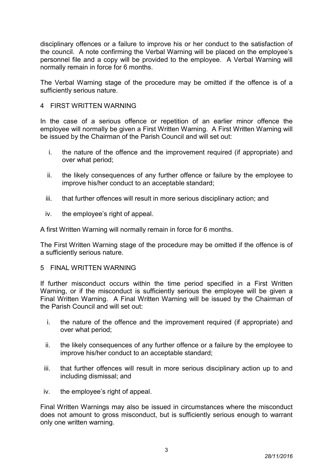disciplinary offences or a failure to improve his or her conduct to the satisfaction of the council. A note confirming the Verbal Warning will be placed on the employee's personnel file and a copy will be provided to the employee. A Verbal Warning will normally remain in force for 6 months.

The Verbal Warning stage of the procedure may be omitted if the offence is of a sufficiently serious nature.

### 4 FIRST WRITTEN WARNING

In the case of a serious offence or repetition of an earlier minor offence the employee will normally be given a First Written Warning. A First Written Warning will be issued by the Chairman of the Parish Council and will set out:

- i. the nature of the offence and the improvement required (if appropriate) and over what period;
- ii. the likely consequences of any further offence or failure by the employee to improve his/her conduct to an acceptable standard;
- iii. that further offences will result in more serious disciplinary action; and
- iv. the employee's right of appeal.

A first Written Warning will normally remain in force for 6 months.

The First Written Warning stage of the procedure may be omitted if the offence is of a sufficiently serious nature.

#### 5 FINAL WRITTEN WARNING

If further misconduct occurs within the time period specified in a First Written Warning, or if the misconduct is sufficiently serious the employee will be given a Final Written Warning. A Final Written Warning will be issued by the Chairman of the Parish Council and will set out:

- i. the nature of the offence and the improvement required (if appropriate) and over what period;
- ii. the likely consequences of any further offence or a failure by the employee to improve his/her conduct to an acceptable standard;
- iii. that further offences will result in more serious disciplinary action up to and including dismissal; and
- iv. the employee's right of appeal.

Final Written Warnings may also be issued in circumstances where the misconduct does not amount to gross misconduct, but is sufficiently serious enough to warrant only one written warning.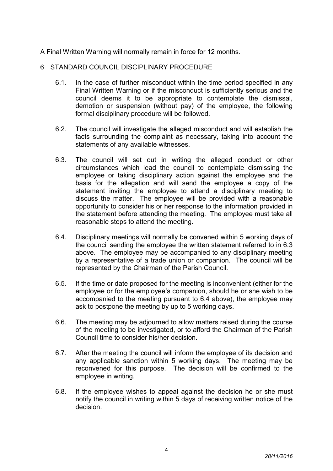A Final Written Warning will normally remain in force for 12 months.

# 6 STANDARD COUNCIL DISCIPLINARY PROCEDURE

- 6.1. In the case of further misconduct within the time period specified in any Final Written Warning or if the misconduct is sufficiently serious and the council deems it to be appropriate to contemplate the dismissal, demotion or suspension (without pay) of the employee, the following formal disciplinary procedure will be followed.
- 6.2. The council will investigate the alleged misconduct and will establish the facts surrounding the complaint as necessary, taking into account the statements of any available witnesses.
- 6.3. The council will set out in writing the alleged conduct or other circumstances which lead the council to contemplate dismissing the employee or taking disciplinary action against the employee and the basis for the allegation and will send the employee a copy of the statement inviting the employee to attend a disciplinary meeting to discuss the matter. The employee will be provided with a reasonable opportunity to consider his or her response to the information provided in the statement before attending the meeting. The employee must take all reasonable steps to attend the meeting.
- 6.4. Disciplinary meetings will normally be convened within 5 working days of the council sending the employee the written statement referred to in 6.3 above. The employee may be accompanied to any disciplinary meeting by a representative of a trade union or companion. The council will be represented by the Chairman of the Parish Council.
- 6.5. If the time or date proposed for the meeting is inconvenient (either for the employee or for the employee's companion, should he or she wish to be accompanied to the meeting pursuant to 6.4 above), the employee may ask to postpone the meeting by up to 5 working days.
- 6.6. The meeting may be adjourned to allow matters raised during the course of the meeting to be investigated, or to afford the Chairman of the Parish Council time to consider his/her decision.
- 6.7. After the meeting the council will inform the employee of its decision and any applicable sanction within 5 working days. The meeting may be reconvened for this purpose. The decision will be confirmed to the employee in writing.
- 6.8. If the employee wishes to appeal against the decision he or she must notify the council in writing within 5 days of receiving written notice of the decision.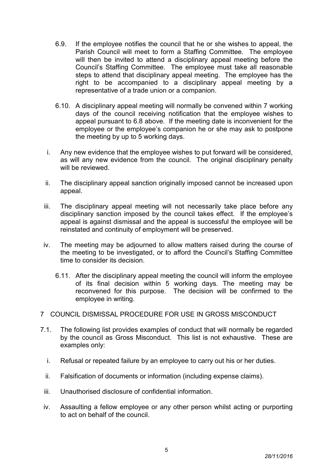- 6.9. If the employee notifies the council that he or she wishes to appeal, the Parish Council will meet to form a Staffing Committee. The employee will then be invited to attend a disciplinary appeal meeting before the Council's Staffing Committee. The employee must take all reasonable steps to attend that disciplinary appeal meeting. The employee has the right to be accompanied to a disciplinary appeal meeting by a representative of a trade union or a companion.
- 6.10. A disciplinary appeal meeting will normally be convened within 7 working days of the council receiving notification that the employee wishes to appeal pursuant to 6.8 above. If the meeting date is inconvenient for the employee or the employee's companion he or she may ask to postpone the meeting by up to 5 working days.
- i. Any new evidence that the employee wishes to put forward will be considered, as will any new evidence from the council. The original disciplinary penalty will be reviewed.
- ii. The disciplinary appeal sanction originally imposed cannot be increased upon appeal.
- iii. The disciplinary appeal meeting will not necessarily take place before any disciplinary sanction imposed by the council takes effect. If the employee's appeal is against dismissal and the appeal is successful the employee will be reinstated and continuity of employment will be preserved.
- iv. The meeting may be adjourned to allow matters raised during the course of the meeting to be investigated, or to afford the Council's Staffing Committee time to consider its decision.
	- 6.11. After the disciplinary appeal meeting the council will inform the employee of its final decision within 5 working days. The meeting may be reconvened for this purpose. The decision will be confirmed to the employee in writing.
- 7 COUNCIL DISMISSAL PROCEDURE FOR USE IN GROSS MISCONDUCT
- 7.1. The following list provides examples of conduct that will normally be regarded by the council as Gross Misconduct. This list is not exhaustive. These are examples only:
	- i. Refusal or repeated failure by an employee to carry out his or her duties.
	- ii. Falsification of documents or information (including expense claims).
	- iii. Unauthorised disclosure of confidential information.
	- iv. Assaulting a fellow employee or any other person whilst acting or purporting to act on behalf of the council.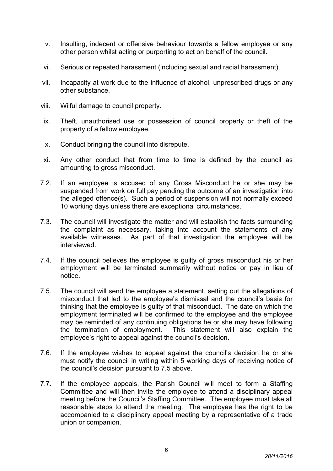- v. Insulting, indecent or offensive behaviour towards a fellow employee or any other person whilst acting or purporting to act on behalf of the council.
- vi. Serious or repeated harassment (including sexual and racial harassment).
- vii. Incapacity at work due to the influence of alcohol, unprescribed drugs or any other substance.
- viii. Wilful damage to council property.
- ix. Theft, unauthorised use or possession of council property or theft of the property of a fellow employee.
- x. Conduct bringing the council into disrepute.
- xi. Any other conduct that from time to time is defined by the council as amounting to gross misconduct.
- 7.2. If an employee is accused of any Gross Misconduct he or she may be suspended from work on full pay pending the outcome of an investigation into the alleged offence(s). Such a period of suspension will not normally exceed 10 working days unless there are exceptional circumstances.
- 7.3. The council will investigate the matter and will establish the facts surrounding the complaint as necessary, taking into account the statements of any available witnesses. As part of that investigation the employee will be interviewed.
- 7.4. If the council believes the employee is guilty of gross misconduct his or her employment will be terminated summarily without notice or pay in lieu of notice.
- 7.5. The council will send the employee a statement, setting out the allegations of misconduct that led to the employee's dismissal and the council's basis for thinking that the employee is guilty of that misconduct. The date on which the employment terminated will be confirmed to the employee and the employee may be reminded of any continuing obligations he or she may have following the termination of employment. This statement will also explain the employee's right to appeal against the council's decision.
- 7.6. If the employee wishes to appeal against the council's decision he or she must notify the council in writing within 5 working days of receiving notice of the council's decision pursuant to 7.5 above.
- 7.7. If the employee appeals, the Parish Council will meet to form a Staffing Committee and will then invite the employee to attend a disciplinary appeal meeting before the Council's Staffing Committee. The employee must take all reasonable steps to attend the meeting. The employee has the right to be accompanied to a disciplinary appeal meeting by a representative of a trade union or companion.